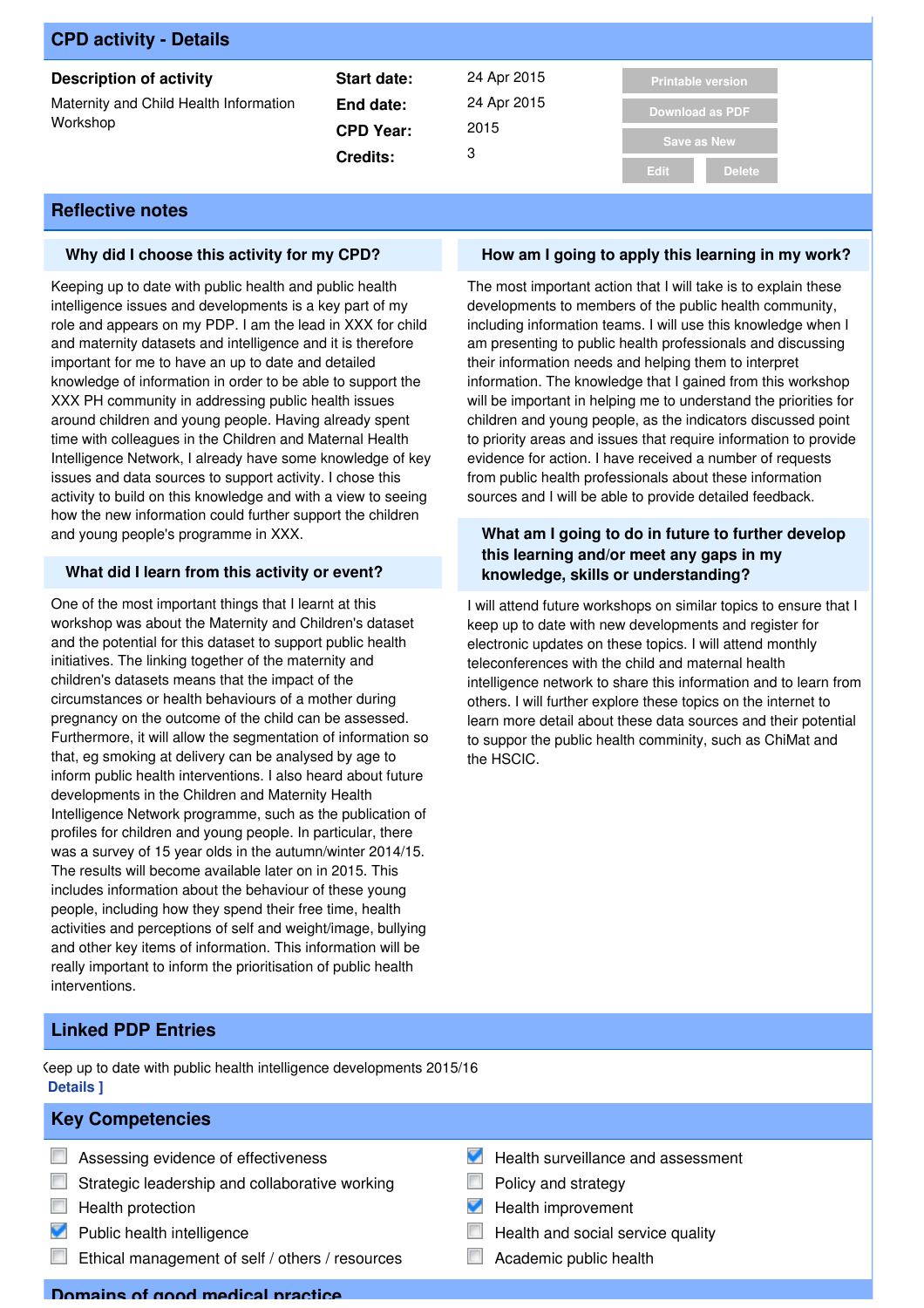| <b>CPD activity - Details</b>                      |                  |             |                              |
|----------------------------------------------------|------------------|-------------|------------------------------|
| <b>Description of activity</b>                     | Start date:      | 24 Apr 2015 | <b>Printable version</b>     |
| Maternity and Child Health Information<br>Workshop | End date:        | 24 Apr 2015 | <b>Download as PDF</b>       |
|                                                    | <b>CPD Year:</b> | 2015        |                              |
|                                                    | <b>Credits:</b>  | 3           | <b>Save as New</b>           |
|                                                    |                  |             | <b>Edit</b><br><b>Delete</b> |

### **Why did I choose this activity for my CPD?**

Keeping up to date with public health and public health intelligence issues and developments is a key part of my role and appears on my PDP. I am the lead in XXX for child and maternity datasets and intelligence and it is therefore important for me to have an up to date and detailed knowledge of information in order to be able to support the XXX PH community in addressing public health issues around children and young people. Having already spent time with colleagues in the Children and Maternal Health Intelligence Network, I already have some knowledge of key issues and data sources to support activity. I chose this activity to build on this knowledge and with a view to seeing how the new information could further support the children and young people's programme in XXX.

### **What did I learn from this activity or event?**

One of the most important things that I learnt at this workshop was about the Maternity and Children's dataset and the potential for this dataset to support public health initiatives. The linking together of the maternity and children's datasets means that the impact of the circumstances or health behaviours of a mother during pregnancy on the outcome of the child can be assessed. Furthermore, it will allow the segmentation of information so that, eg smoking at delivery can be analysed by age to inform public health interventions. I also heard about future developments in the Children and Maternity Health Intelligence Network programme, such as the publication of profiles for children and young people. In particular, there was a survey of 15 year olds in the autumn/winter 2014/15. The results will become available later on in 2015. This includes information about the behaviour of these young people, including how they spend their free time, health activities and perceptions of self and weight/image, bullying and other key items of information. This information will be really important to inform the prioritisation of public health interventions.

### **How am I going to apply this learning in my work?**

The most important action that I will take is to explain these developments to members of the public health community, including information teams. I will use this knowledge when I am presenting to public health professionals and discussing their information needs and helping them to interpret information. The knowledge that I gained from this workshop will be important in helping me to understand the priorities for children and young people, as the indicators discussed point to priority areas and issues that require information to provide evidence for action. I have received a number of requests from public health professionals about these information sources and I will be able to provide detailed feedback.

### **What am I going to do in future to further develop this learning and/or meet any gaps in my knowledge, skills or understanding?**

I will attend future workshops on similar topics to ensure that I keep up to date with new developments and register for electronic updates on these topics. I will attend monthly teleconferences with the child and maternal health intelligence network to share this information and to learn from others. I will further explore these topics on the internet to learn more detail about these data sources and their potential to suppor the public health comminity, such as ChiMat and the HSCIC.

### **Linked PDP Entries**

Keep up to date with public health intelligence developments 2015/16 **[ Details ]**

### **Key Competencies**

- **E** Assessing evidence of effectiveness
- $\Box$  Strategic leadership and collaborative working
- $\Box$  Health protection
- **Public health intelligence**
- Ethical management of self / others / resources
- Health surveillance and assessment
- $\overline{\phantom{a}}$ Policy and strategy
- Health improvement
- Health and social service quality
- Academic public health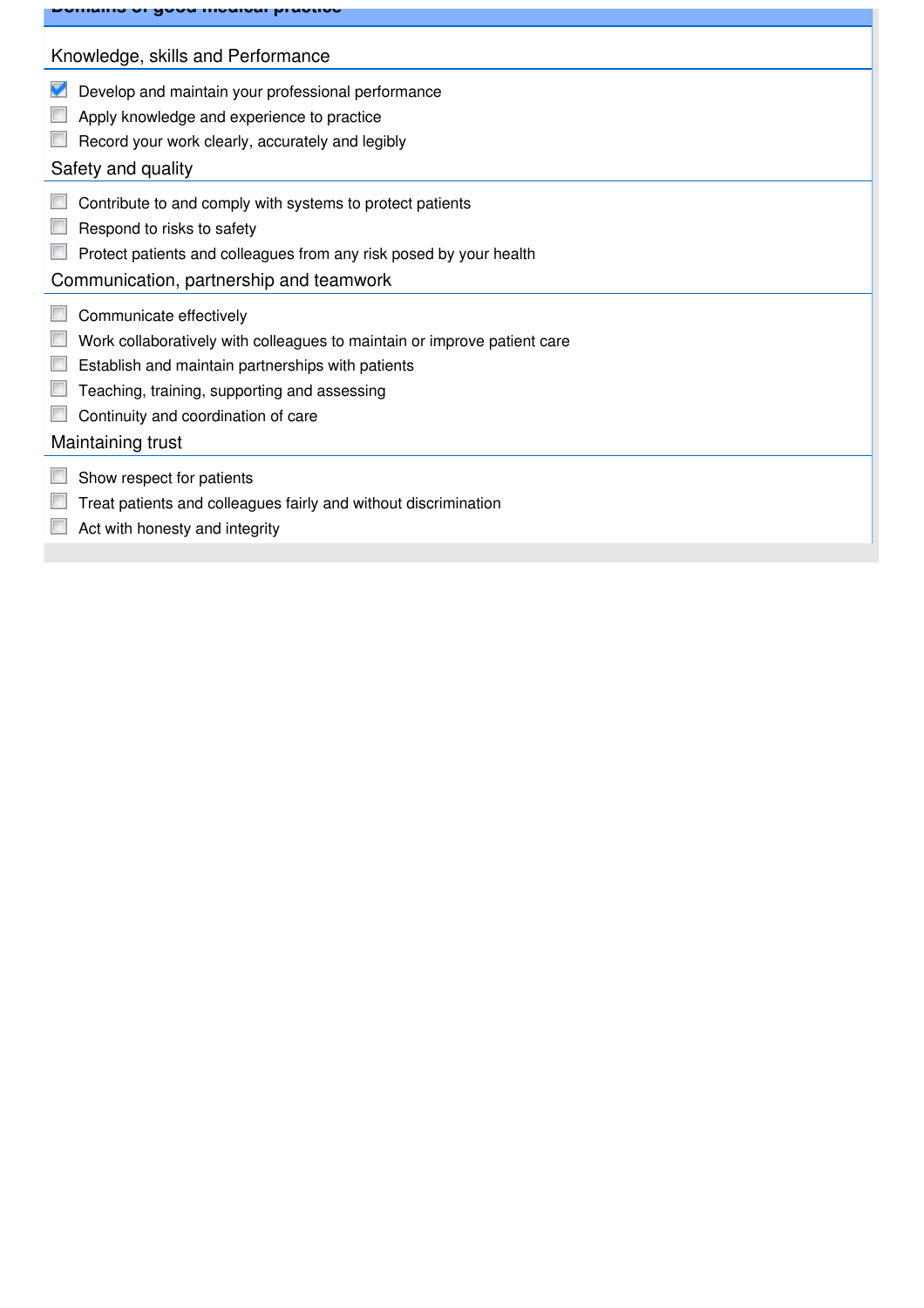| <u>u daamaan muuqida u</u>                                               |
|--------------------------------------------------------------------------|
| Knowledge, skills and Performance                                        |
| Develop and maintain your professional performance                       |
| Apply knowledge and experience to practice                               |
| Record your work clearly, accurately and legibly                         |
| Safety and quality                                                       |
| Contribute to and comply with systems to protect patients                |
| Respond to risks to safety                                               |
| Protect patients and colleagues from any risk posed by your health       |
| Communication, partnership and teamwork                                  |
| Communicate effectively                                                  |
| Work collaboratively with colleagues to maintain or improve patient care |
| Establish and maintain partnerships with patients                        |
| Teaching, training, supporting and assessing                             |
| Continuity and coordination of care                                      |
| Maintaining trust                                                        |
| Show respect for patients                                                |
| Treat patients and colleagues fairly and without discrimination          |
| Act with honesty and integrity                                           |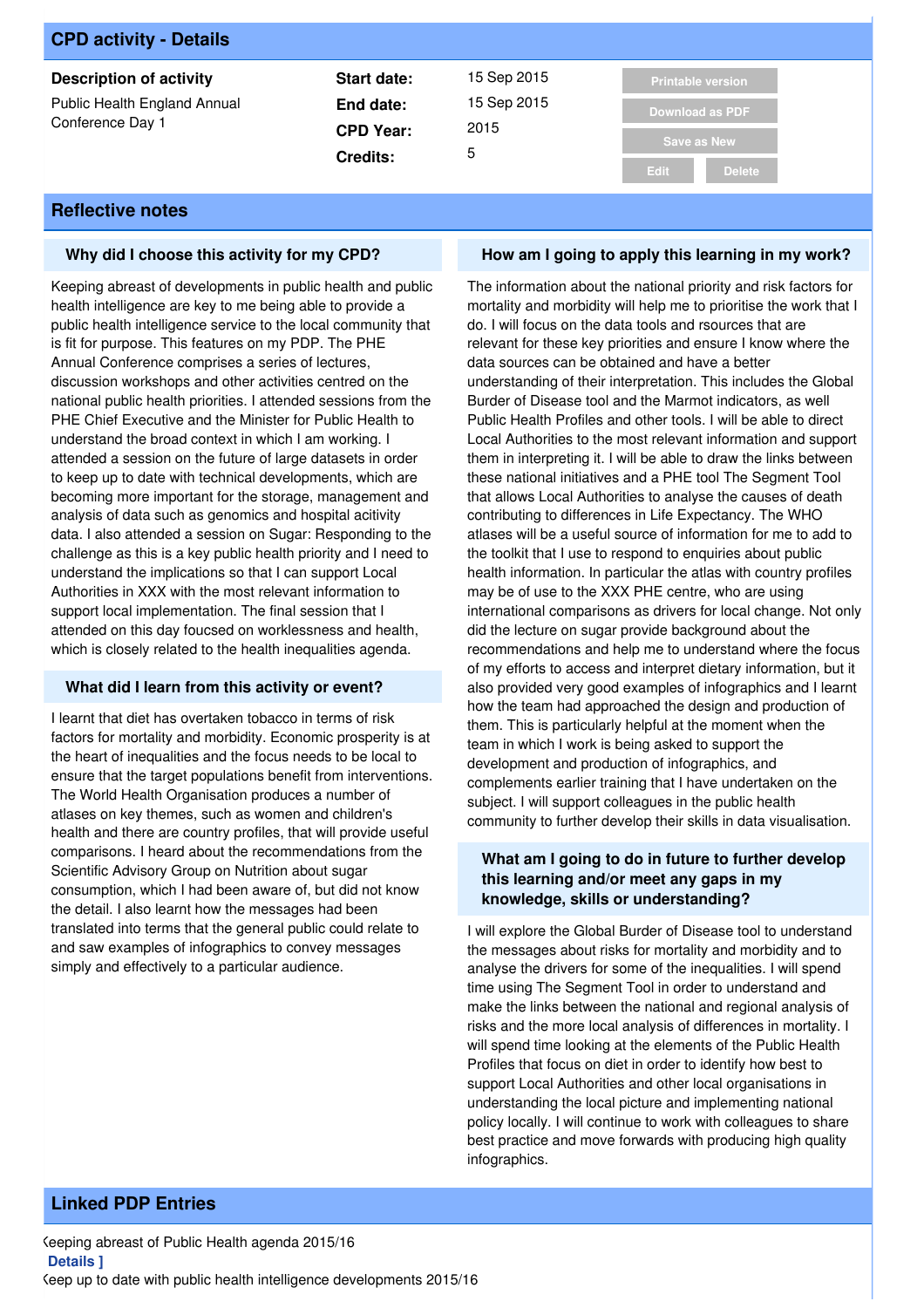| <b>CPD activity - Details</b>                    |                  |             |                          |
|--------------------------------------------------|------------------|-------------|--------------------------|
| <b>Description of activity</b>                   | Start date:      | 15 Sep 2015 | <b>Printable version</b> |
| Public Health England Annual<br>Conference Day 1 | End date:        | 15 Sep 2015 | <b>Download as PDF</b>   |
|                                                  | <b>CPD Year:</b> | 2015        | <b>Save as New</b>       |
|                                                  | <b>Credits:</b>  | 5           |                          |
|                                                  |                  |             | <b>Delete</b><br>Edit    |

### **Why did I choose this activity for my CPD?**

Keeping abreast of developments in public health and public health intelligence are key to me being able to provide a public health intelligence service to the local community that is fit for purpose. This features on my PDP. The PHE Annual Conference comprises a series of lectures, discussion workshops and other activities centred on the national public health priorities. I attended sessions from the PHE Chief Executive and the Minister for Public Health to understand the broad context in which I am working. I attended a session on the future of large datasets in order to keep up to date with technical developments, which are becoming more important for the storage, management and analysis of data such as genomics and hospital acitivity data. I also attended a session on Sugar: Responding to the challenge as this is a key public health priority and I need to understand the implications so that I can support Local Authorities in XXX with the most relevant information to support local implementation. The final session that I attended on this day foucsed on worklessness and health, which is closely related to the health inequalities agenda.

### **What did I learn from this activity or event?**

I learnt that diet has overtaken tobacco in terms of risk factors for mortality and morbidity. Economic prosperity is at the heart of inequalities and the focus needs to be local to ensure that the target populations benefit from interventions. The World Health Organisation produces a number of atlases on key themes, such as women and children's health and there are country profiles, that will provide useful comparisons. I heard about the recommendations from the Scientific Advisory Group on Nutrition about sugar consumption, which I had been aware of, but did not know the detail. I also learnt how the messages had been translated into terms that the general public could relate to and saw examples of infographics to convey messages simply and effectively to a particular audience.

### **How am I going to apply this learning in my work?**

The information about the national priority and risk factors for mortality and morbidity will help me to prioritise the work that I do. I will focus on the data tools and rsources that are relevant for these key priorities and ensure I know where the data sources can be obtained and have a better understanding of their interpretation. This includes the Global Burder of Disease tool and the Marmot indicators, as well Public Health Profiles and other tools. I will be able to direct Local Authorities to the most relevant information and support them in interpreting it. I will be able to draw the links between these national initiatives and a PHE tool The Segment Tool that allows Local Authorities to analyse the causes of death contributing to differences in Life Expectancy. The WHO atlases will be a useful source of information for me to add to the toolkit that I use to respond to enquiries about public health information. In particular the atlas with country profiles may be of use to the XXX PHE centre, who are using international comparisons as drivers for local change. Not only did the lecture on sugar provide background about the recommendations and help me to understand where the focus of my efforts to access and interpret dietary information, but it also provided very good examples of infographics and I learnt how the team had approached the design and production of them. This is particularly helpful at the moment when the team in which I work is being asked to support the development and production of infographics, and complements earlier training that I have undertaken on the subject. I will support colleagues in the public health community to further develop their skills in data visualisation.

### **What am I going to do in future to further develop this learning and/or meet any gaps in my knowledge, skills or understanding?**

I will explore the Global Burder of Disease tool to understand the messages about risks for mortality and morbidity and to analyse the drivers for some of the inequalities. I will spend time using The Segment Tool in order to understand and make the links between the national and regional analysis of risks and the more local analysis of differences in mortality. I will spend time looking at the elements of the Public Health Profiles that focus on diet in order to identify how best to support Local Authorities and other local organisations in understanding the local picture and implementing national policy locally. I will continue to work with colleagues to share best practice and move forwards with producing high quality infographics.

# **Linked PDP Entries**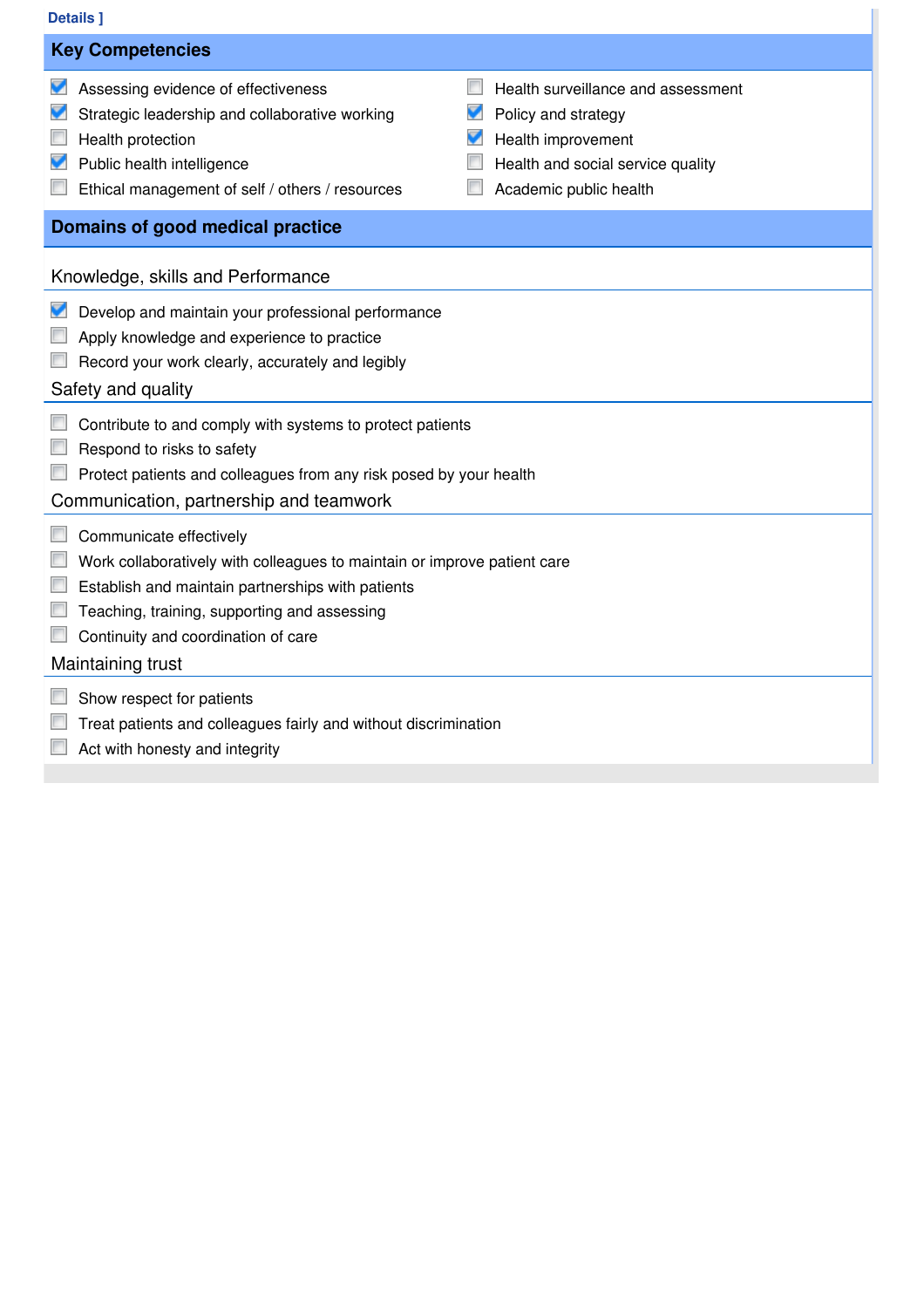# **[ Details ]**

| <b>Details</b> ]                                                                                                                                                                                                                                                                                                                                   |  |  |  |  |
|----------------------------------------------------------------------------------------------------------------------------------------------------------------------------------------------------------------------------------------------------------------------------------------------------------------------------------------------------|--|--|--|--|
| <b>Key Competencies</b>                                                                                                                                                                                                                                                                                                                            |  |  |  |  |
| Assessing evidence of effectiveness<br>Health surveillance and assessment<br>Strategic leadership and collaborative working<br>Policy and strategy<br>v<br>Health improvement<br>Health protection<br>Public health intelligence<br>Health and social service quality<br>Academic public health<br>Ethical management of self / others / resources |  |  |  |  |
| Domains of good medical practice                                                                                                                                                                                                                                                                                                                   |  |  |  |  |
| Knowledge, skills and Performance                                                                                                                                                                                                                                                                                                                  |  |  |  |  |
| Develop and maintain your professional performance<br>Apply knowledge and experience to practice<br>Record your work clearly, accurately and legibly<br>Safety and quality                                                                                                                                                                         |  |  |  |  |
| Contribute to and comply with systems to protect patients<br>Respond to risks to safety<br>Protect patients and colleagues from any risk posed by your health<br>Communication, partnership and teamwork                                                                                                                                           |  |  |  |  |
| Communicate effectively<br>Work collaboratively with colleagues to maintain or improve patient care<br>Establish and maintain partnerships with patients<br>Teaching, training, supporting and assessing<br>Continuity and coordination of care<br>Maintaining trust                                                                               |  |  |  |  |
| Show respect for patients<br>Treat patients and colleagues fairly and without discrimination                                                                                                                                                                                                                                                       |  |  |  |  |

**Act with honesty and integrity**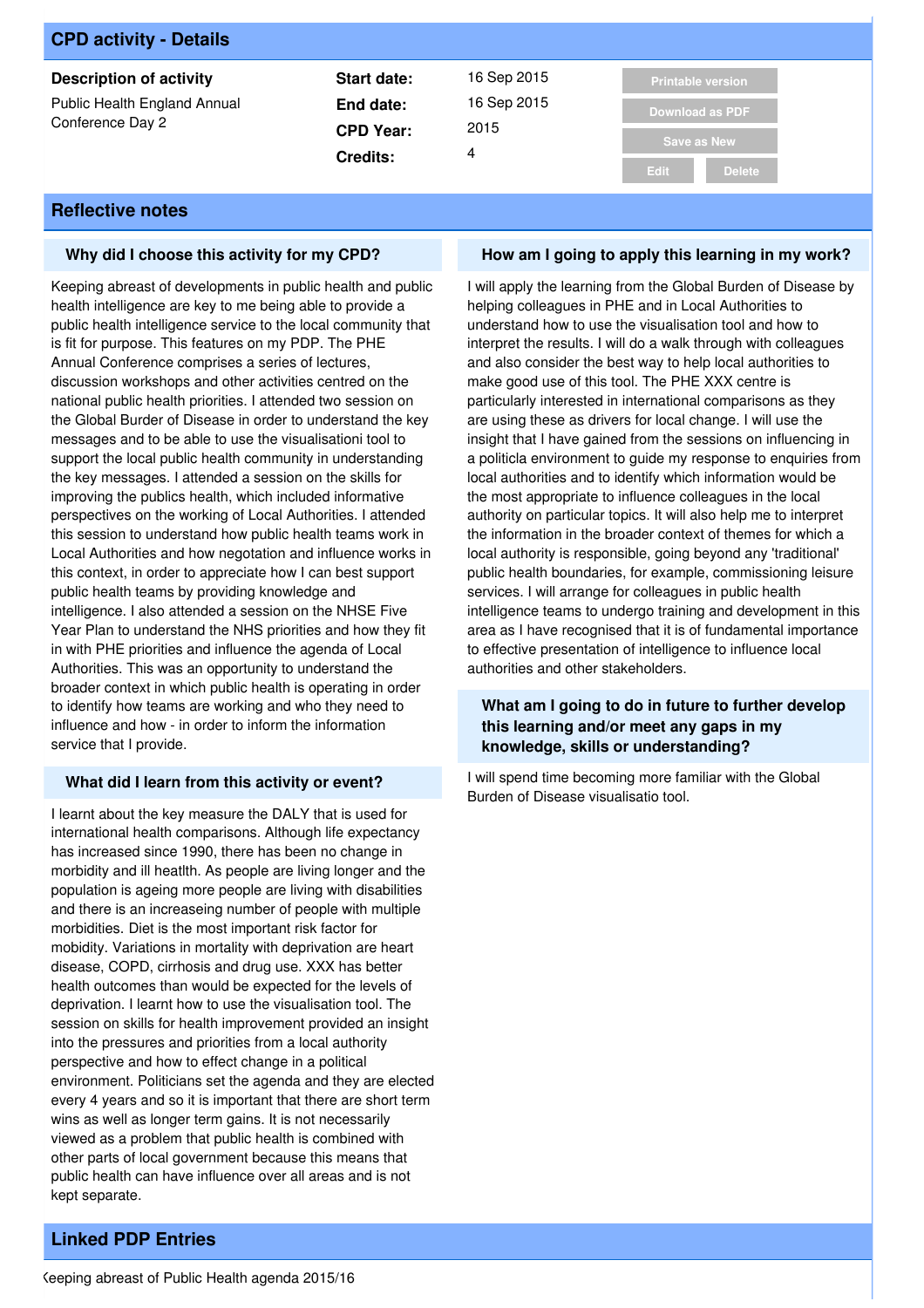| <b>CPD activity - Details</b>                    |                  |             |                              |
|--------------------------------------------------|------------------|-------------|------------------------------|
| <b>Description of activity</b>                   | Start date:      | 16 Sep 2015 | <b>Printable version</b>     |
| Public Health England Annual<br>Conference Day 2 | End date:        | 16 Sep 2015 | <b>Download as PDF</b>       |
|                                                  | <b>CPD Year:</b> | 2015        | <b>Save as New</b>           |
|                                                  | <b>Credits:</b>  | 4           |                              |
|                                                  |                  |             | <b>Delete</b><br><b>Edit</b> |

#### **Why did I choose this activity for my CPD?**

Keeping abreast of developments in public health and public health intelligence are key to me being able to provide a public health intelligence service to the local community that is fit for purpose. This features on my PDP. The PHE Annual Conference comprises a series of lectures, discussion workshops and other activities centred on the national public health priorities. I attended two session on the Global Burder of Disease in order to understand the key messages and to be able to use the visualisationi tool to support the local public health community in understanding the key messages. I attended a session on the skills for improving the publics health, which included informative perspectives on the working of Local Authorities. I attended this session to understand how public health teams work in Local Authorities and how negotation and influence works in this context, in order to appreciate how I can best support public health teams by providing knowledge and intelligence. I also attended a session on the NHSE Five Year Plan to understand the NHS priorities and how they fit in with PHE priorities and influence the agenda of Local Authorities. This was an opportunity to understand the broader context in which public health is operating in order to identify how teams are working and who they need to influence and how - in order to inform the information service that I provide.

#### **What did I learn from this activity or event?**

I learnt about the key measure the DALY that is used for international health comparisons. Although life expectancy has increased since 1990, there has been no change in morbidity and ill heatlth. As people are living longer and the population is ageing more people are living with disabilities and there is an increaseing number of people with multiple morbidities. Diet is the most important risk factor for mobidity. Variations in mortality with deprivation are heart disease, COPD, cirrhosis and drug use. XXX has better health outcomes than would be expected for the levels of deprivation. I learnt how to use the visualisation tool. The session on skills for health improvement provided an insight into the pressures and priorities from a local authority perspective and how to effect change in a political environment. Politicians set the agenda and they are elected every 4 years and so it is important that there are short term wins as well as longer term gains. It is not necessarily viewed as a problem that public health is combined with other parts of local government because this means that public health can have influence over all areas and is not kept separate.

### **How am I going to apply this learning in my work?**

I will apply the learning from the Global Burden of Disease by helping colleagues in PHE and in Local Authorities to understand how to use the visualisation tool and how to interpret the results. I will do a walk through with colleagues and also consider the best way to help local authorities to make good use of this tool. The PHE XXX centre is particularly interested in international comparisons as they are using these as drivers for local change. I will use the insight that I have gained from the sessions on influencing in a politicla environment to guide my response to enquiries from local authorities and to identify which information would be the most appropriate to influence colleagues in the local authority on particular topics. It will also help me to interpret the information in the broader context of themes for which a local authority is responsible, going beyond any 'traditional' public health boundaries, for example, commissioning leisure services. I will arrange for colleagues in public health intelligence teams to undergo training and development in this area as I have recognised that it is of fundamental importance to effective presentation of intelligence to influence local authorities and other stakeholders.

### **What am I going to do in future to further develop this learning and/or meet any gaps in my knowledge, skills or understanding?**

I will spend time becoming more familiar with the Global Burden of Disease visualisatio tool.

# **Linked PDP Entries**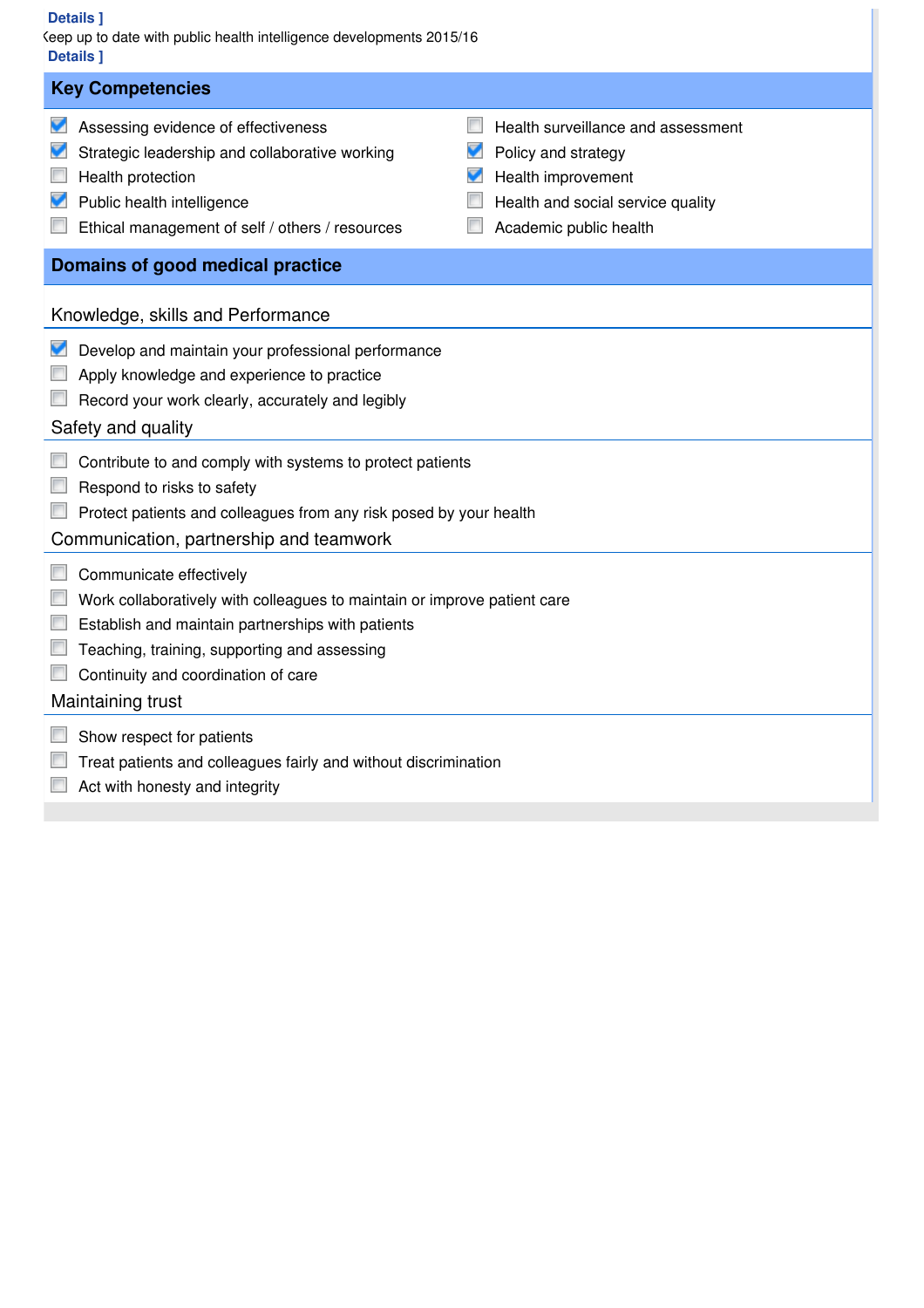### **[ Details ]**

| <b>Details</b> ]<br>Geep up to date with public health intelligence developments 2015/16<br><b>Details 1</b>                                                                                                                                                         |                                                                                                                                                     |  |  |  |
|----------------------------------------------------------------------------------------------------------------------------------------------------------------------------------------------------------------------------------------------------------------------|-----------------------------------------------------------------------------------------------------------------------------------------------------|--|--|--|
| <b>Key Competencies</b>                                                                                                                                                                                                                                              |                                                                                                                                                     |  |  |  |
| Assessing evidence of effectiveness<br>Strategic leadership and collaborative working<br>Health protection<br>Public health intelligence<br>Ethical management of self / others / resources                                                                          | Health surveillance and assessment<br>Policy and strategy<br>V<br>Health improvement<br>Health and social service quality<br>Academic public health |  |  |  |
| Domains of good medical practice                                                                                                                                                                                                                                     |                                                                                                                                                     |  |  |  |
| Knowledge, skills and Performance                                                                                                                                                                                                                                    |                                                                                                                                                     |  |  |  |
| Develop and maintain your professional performance<br>Apply knowledge and experience to practice<br>Record your work clearly, accurately and legibly<br>Safety and quality                                                                                           |                                                                                                                                                     |  |  |  |
| Contribute to and comply with systems to protect patients<br>Respond to risks to safety<br>Protect patients and colleagues from any risk posed by your health<br>Communication, partnership and teamwork                                                             |                                                                                                                                                     |  |  |  |
| Communicate effectively<br>Work collaboratively with colleagues to maintain or improve patient care<br>Establish and maintain partnerships with patients<br>Teaching, training, supporting and assessing<br>Continuity and coordination of care<br>Maintaining trust |                                                                                                                                                     |  |  |  |
| Show respect for patients<br>Treat patients and colleagues fairly and without discrimination<br>Act with honesty and integrity                                                                                                                                       |                                                                                                                                                     |  |  |  |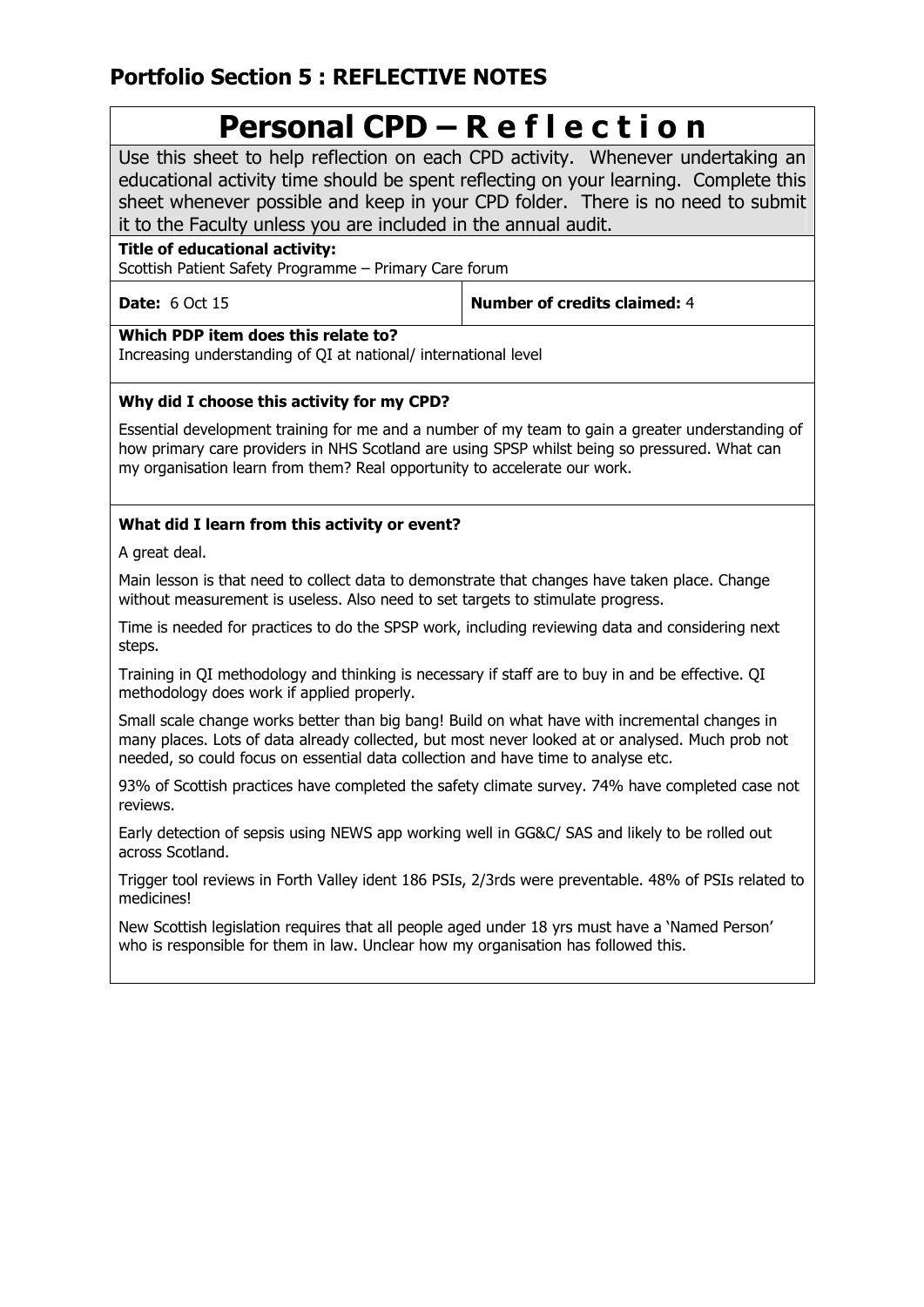# **Portfolio Section 5 : REFLECTIVE NOTES**

# **Personal CPD – R e f l e c t i o n**

Use this sheet to help reflection on each CPD activity. Whenever undertaking an educational activity time should be spent reflecting on your learning. Complete this sheet whenever possible and keep in your CPD folder. There is no need to submit it to the Faculty unless you are included in the annual audit.

# **Title of educational activity:**

Scottish Patient Safety Programme – Primary Care forum

| <b>Date: 6 Oct 15</b> |  |  |
|-----------------------|--|--|
|                       |  |  |

**Number of credits claimed:** 4

**Which PDP item does this relate to?**

Increasing understanding of QI at national/ international level

# **Why did I choose this activity for my CPD?**

Essential development training for me and a number of my team to gain a greater understanding of how primary care providers in NHS Scotland are using SPSP whilst being so pressured. What can my organisation learn from them? Real opportunity to accelerate our work.

# **What did I learn from this activity or event?**

A great deal.

Main lesson is that need to collect data to demonstrate that changes have taken place. Change without measurement is useless. Also need to set targets to stimulate progress.

Time is needed for practices to do the SPSP work, including reviewing data and considering next steps.

Training in QI methodology and thinking is necessary if staff are to buy in and be effective. QI methodology does work if applied properly.

Small scale change works better than big bang! Build on what have with incremental changes in many places. Lots of data already collected, but most never looked at or analysed. Much prob not needed, so could focus on essential data collection and have time to analyse etc.

93% of Scottish practices have completed the safety climate survey. 74% have completed case not reviews.

Early detection of sepsis using NEWS app working well in GG&C/ SAS and likely to be rolled out across Scotland.

Trigger tool reviews in Forth Valley ident 186 PSIs, 2/3rds were preventable. 48% of PSIs related to medicines!

New Scottish legislation requires that all people aged under 18 yrs must have a 'Named Person' who is responsible for them in law. Unclear how my organisation has followed this.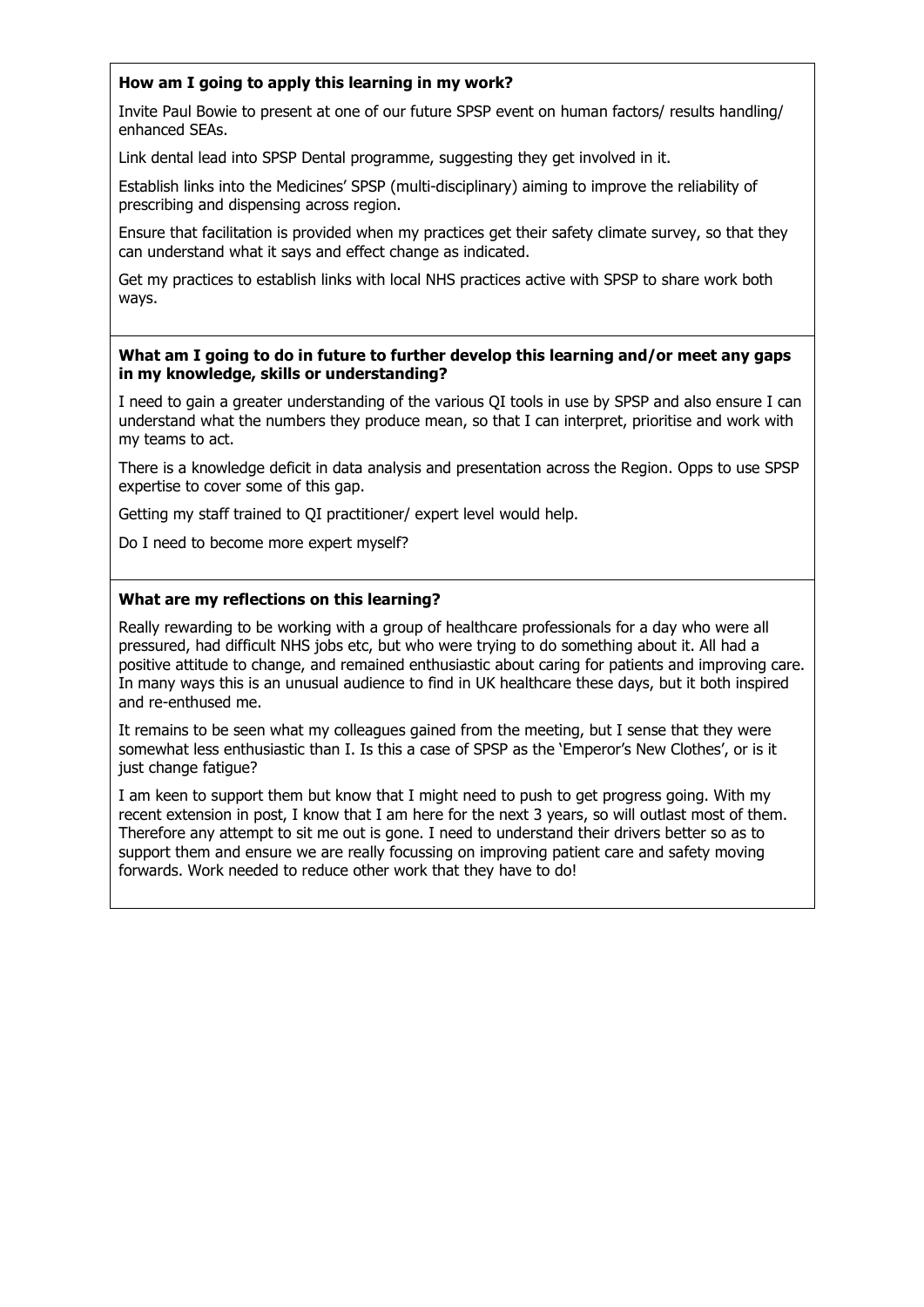# **How am I going to apply this learning in my work?**

Invite Paul Bowie to present at one of our future SPSP event on human factors/ results handling/ enhanced SEAs.

Link dental lead into SPSP Dental programme, suggesting they get involved in it.

Establish links into the Medicines' SPSP (multi-disciplinary) aiming to improve the reliability of prescribing and dispensing across region.

Ensure that facilitation is provided when my practices get their safety climate survey, so that they can understand what it says and effect change as indicated.

Get my practices to establish links with local NHS practices active with SPSP to share work both ways.

### **What am I going to do in future to further develop this learning and/or meet any gaps in my knowledge, skills or understanding?**

I need to gain a greater understanding of the various QI tools in use by SPSP and also ensure I can understand what the numbers they produce mean, so that I can interpret, prioritise and work with my teams to act.

There is a knowledge deficit in data analysis and presentation across the Region. Opps to use SPSP expertise to cover some of this gap.

Getting my staff trained to QI practitioner/ expert level would help.

Do I need to become more expert myself?

### **What are my reflections on this learning?**

Really rewarding to be working with a group of healthcare professionals for a day who were all pressured, had difficult NHS jobs etc, but who were trying to do something about it. All had a positive attitude to change, and remained enthusiastic about caring for patients and improving care. In many ways this is an unusual audience to find in UK healthcare these days, but it both inspired and re-enthused me.

It remains to be seen what my colleagues gained from the meeting, but I sense that they were somewhat less enthusiastic than I. Is this a case of SPSP as the 'Emperor's New Clothes', or is it just change fatigue?

I am keen to support them but know that I might need to push to get progress going. With my recent extension in post, I know that I am here for the next 3 years, so will outlast most of them. Therefore any attempt to sit me out is gone. I need to understand their drivers better so as to support them and ensure we are really focussing on improving patient care and safety moving forwards. Work needed to reduce other work that they have to do!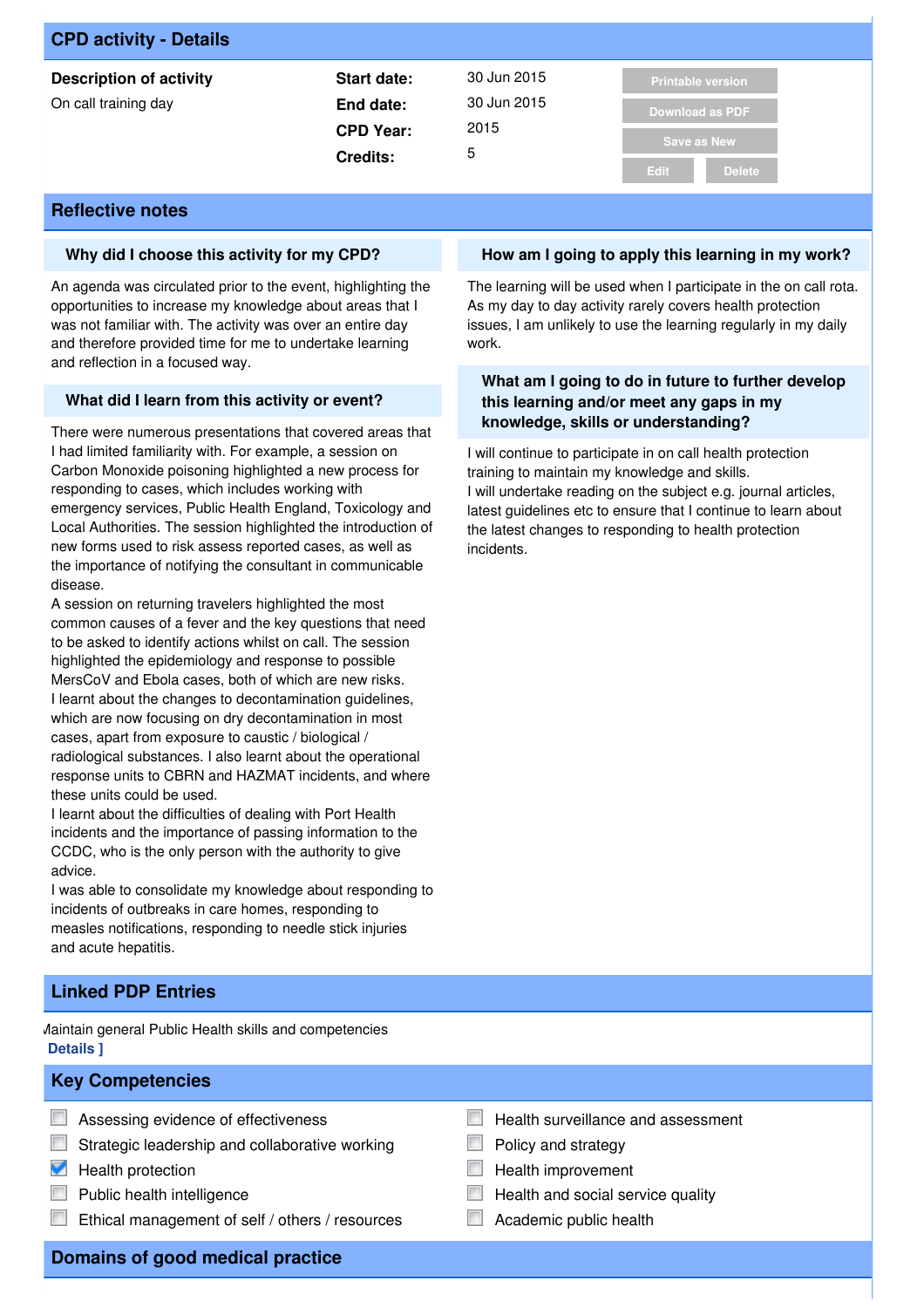| <b>CPD activity - Details</b>  |                  |             |                          |
|--------------------------------|------------------|-------------|--------------------------|
| <b>Description of activity</b> | Start date:      | 30 Jun 2015 | <b>Printable version</b> |
| On call training day           | End date:        | 30 Jun 2015 | <b>Download as PDF</b>   |
|                                | <b>CPD Year:</b> | 2015        | Save as New              |
|                                | <b>Credits:</b>  | 5           |                          |
|                                |                  |             | <b>Delete</b><br>Edit.   |

### **Why did I choose this activity for my CPD?**

An agenda was circulated prior to the event, highlighting the opportunities to increase my knowledge about areas that I was not familiar with. The activity was over an entire day and therefore provided time for me to undertake learning and reflection in a focused way.

### **What did I learn from this activity or event?**

There were numerous presentations that covered areas that I had limited familiarity with. For example, a session on Carbon Monoxide poisoning highlighted a new process for responding to cases, which includes working with emergency services, Public Health England, Toxicology and Local Authorities. The session highlighted the introduction of new forms used to risk assess reported cases, as well as the importance of notifying the consultant in communicable disease.

A session on returning travelers highlighted the most common causes of a fever and the key questions that need to be asked to identify actions whilst on call. The session highlighted the epidemiology and response to possible MersCoV and Ebola cases, both of which are new risks. I learnt about the changes to decontamination guidelines, which are now focusing on dry decontamination in most cases, apart from exposure to caustic / biological / radiological substances. I also learnt about the operational response units to CBRN and HAZMAT incidents, and where these units could be used.

I learnt about the difficulties of dealing with Port Health incidents and the importance of passing information to the CCDC, who is the only person with the authority to give advice.

I was able to consolidate my knowledge about responding to incidents of outbreaks in care homes, responding to measles notifications, responding to needle stick injuries and acute hepatitis.

# **Linked PDP Entries**

Maintain general Public Health skills and competencies **[ Details ]**

### **Key Competencies**

- **Assessing evidence of effectiveness**
- $\Box$  Strategic leadership and collaborative working
- $\blacksquare$  Health protection
- $\Box$  Public health intelligence
- Ethical management of self / others / resources

### **How am I going to apply this learning in my work?**

The learning will be used when I participate in the on call rota. As my day to day activity rarely covers health protection issues, I am unlikely to use the learning regularly in my daily work.

### **What am I going to do in future to further develop this learning and/or meet any gaps in my knowledge, skills or understanding?**

I will continue to participate in on call health protection training to maintain my knowledge and skills. I will undertake reading on the subject e.g. journal articles, latest guidelines etc to ensure that I continue to learn about the latest changes to responding to health protection incidents.

- $\overline{\phantom{a}}$ Health surveillance and assessment
	- Policy and strategy
- Health improvement
- Health and social service quality
- Academic public health

**Domains of good medical practice**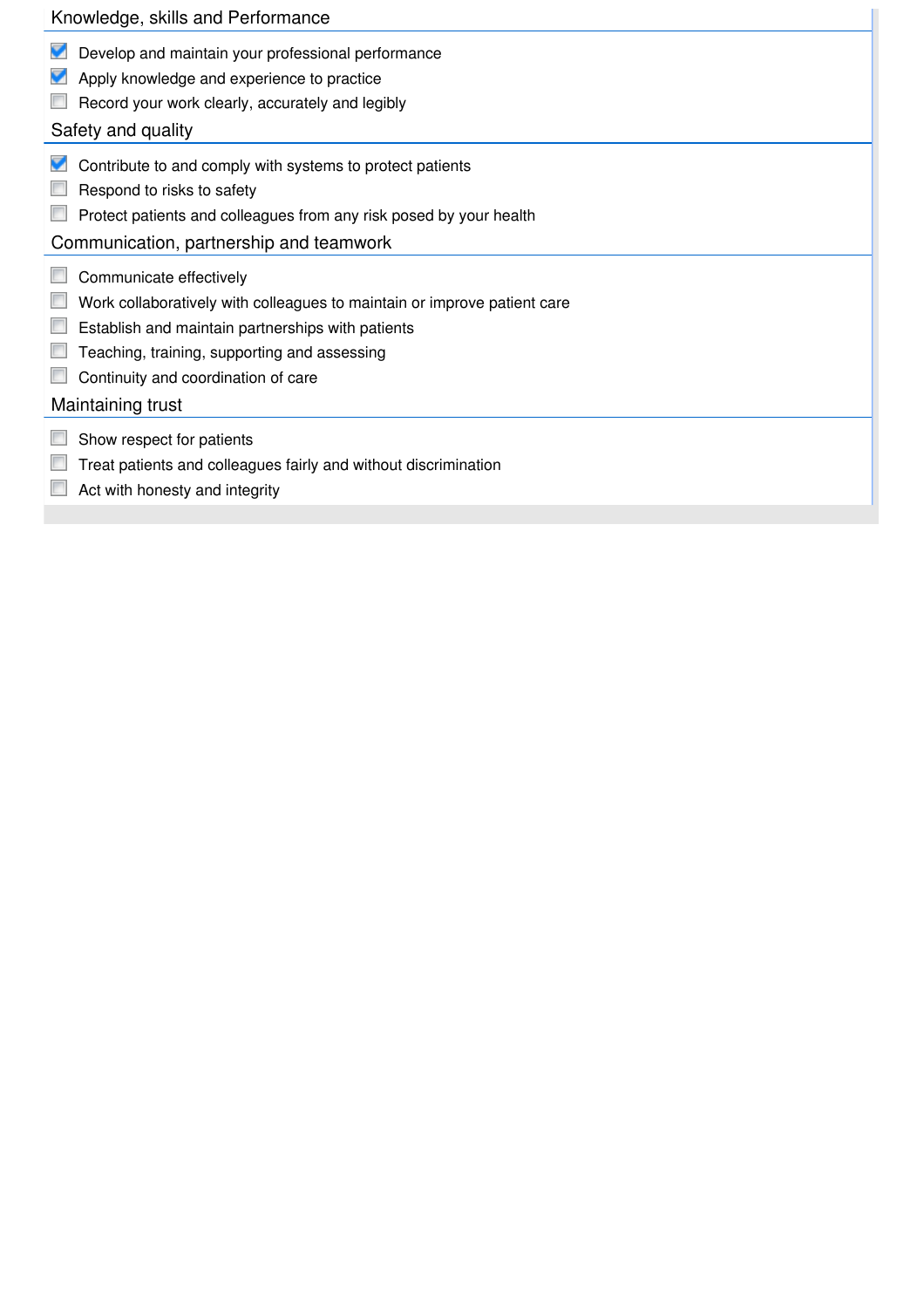# Develop and maintain your professional performance **Apply knowledge and experience to practice** Record your work clearly, accurately and legibly  $\blacksquare$  Contribute to and comply with systems to protect patients  $\Box$  Respond to risks to safety **Protect patients and colleagues from any risk posed by your health** Communicate effectively Work collaboratively with colleagues to maintain or improve patient care **E** Establish and maintain partnerships with patients **Teaching, training, supporting and assessing Continuity and coordination of care**  $\Box$  Show respect for patients Knowledge, skills and Performance Safety and quality Communication, partnership and teamwork Maintaining trust

- Treat patients and colleagues fairly and without discrimination
- $\Box$  Act with honesty and integrity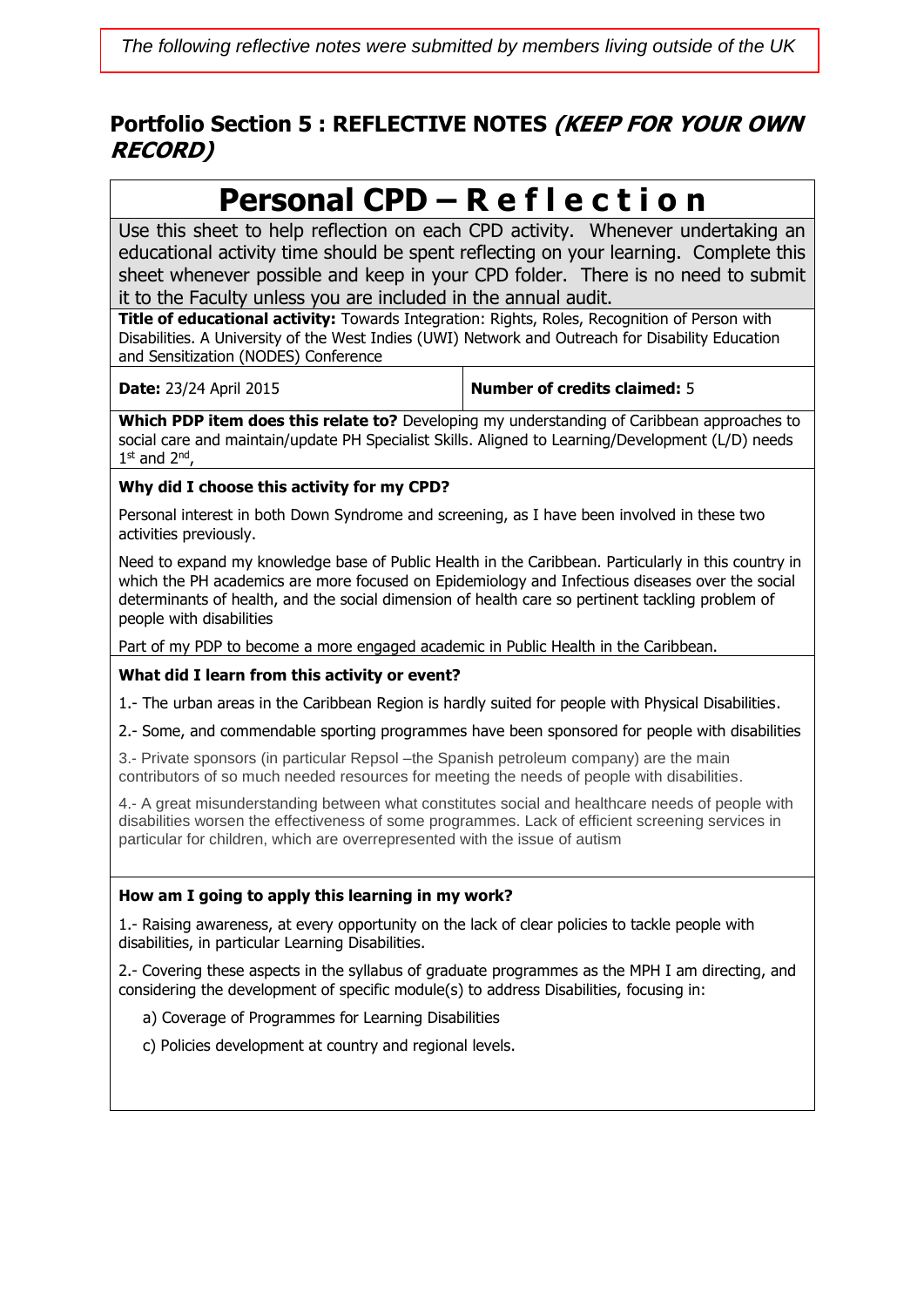# **Portfolio Section 5 : REFLECTIVE NOTES (KEEP FOR YOUR OWN RECORD)**

# **Personal CPD – R e f l e c t i o n**

Use this sheet to help reflection on each CPD activity. Whenever undertaking an educational activity time should be spent reflecting on your learning. Complete this sheet whenever possible and keep in your CPD folder. There is no need to submit it to the Faculty unless you are included in the annual audit.

**Title of educational activity:** Towards Integration: Rights, Roles, Recognition of Person with Disabilities. A University of the West Indies (UWI) Network and Outreach for Disability Education and Sensitization (NODES) Conference

**Date:** 23/24 April 2015 **Number of credits claimed:** 5

**Which PDP item does this relate to?** Developing my understanding of Caribbean approaches to social care and maintain/update PH Specialist Skills. Aligned to Learning/Development (L/D) needs  $1^{\text{st}}$  and  $2^{\text{nd}}$ ,

# **Why did I choose this activity for my CPD?**

Personal interest in both Down Syndrome and screening, as I have been involved in these two activities previously.

Need to expand my knowledge base of Public Health in the Caribbean. Particularly in this country in which the PH academics are more focused on Epidemiology and Infectious diseases over the social determinants of health, and the social dimension of health care so pertinent tackling problem of people with disabilities

Part of my PDP to become a more engaged academic in Public Health in the Caribbean.

# **What did I learn from this activity or event?**

1.- The urban areas in the Caribbean Region is hardly suited for people with Physical Disabilities.

2.- Some, and commendable sporting programmes have been sponsored for people with disabilities

3.- Private sponsors (in particular Repsol –the Spanish petroleum company) are the main contributors of so much needed resources for meeting the needs of people with disabilities.

4.- A great misunderstanding between what constitutes social and healthcare needs of people with disabilities worsen the effectiveness of some programmes. Lack of efficient screening services in particular for children, which are overrepresented with the issue of autism

# **How am I going to apply this learning in my work?**

1.- Raising awareness, at every opportunity on the lack of clear policies to tackle people with disabilities, in particular Learning Disabilities.

2.- Covering these aspects in the syllabus of graduate programmes as the MPH I am directing, and considering the development of specific module(s) to address Disabilities, focusing in:

a) Coverage of Programmes for Learning Disabilities

c) Policies development at country and regional levels.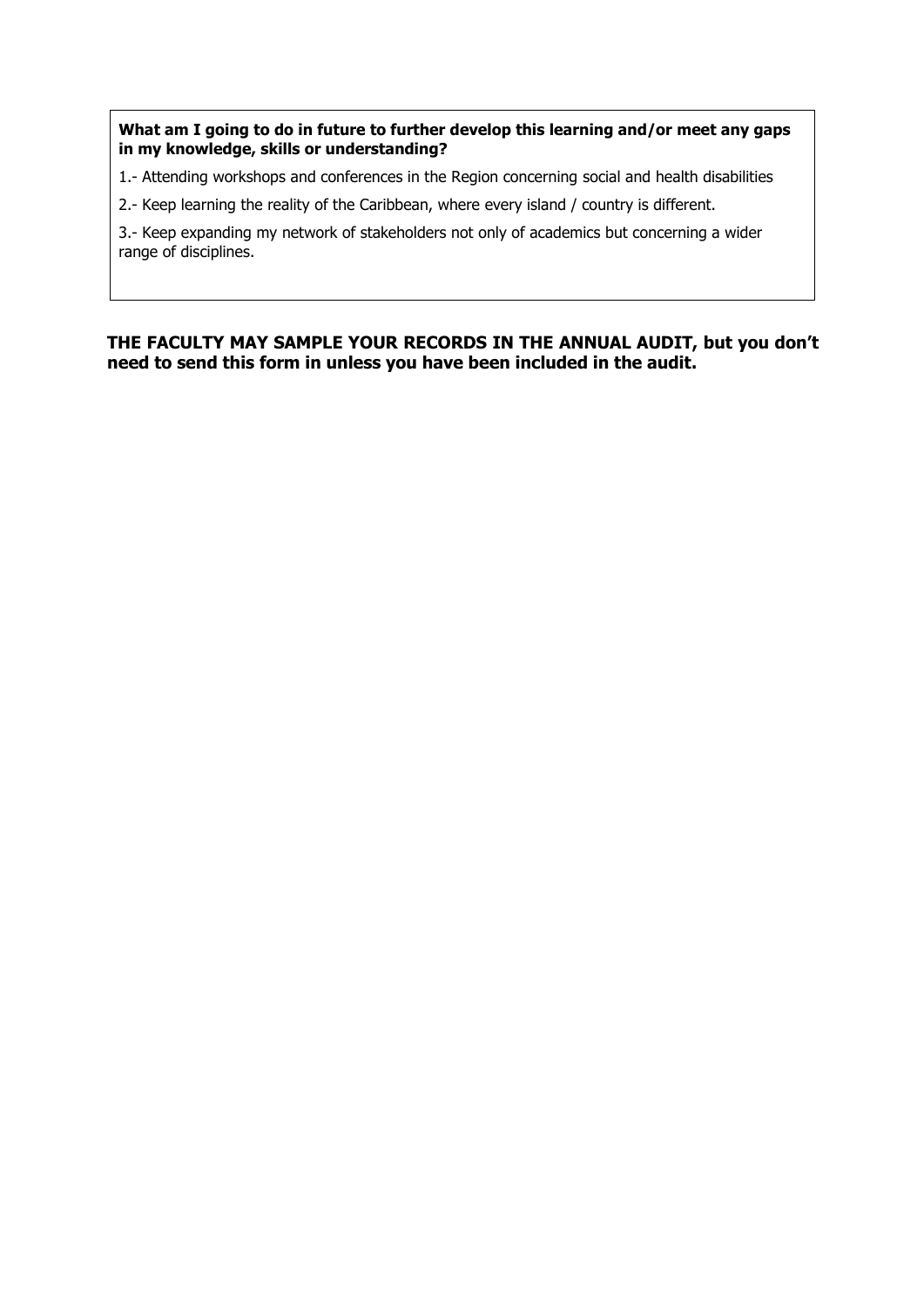**What am I going to do in future to further develop this learning and/or meet any gaps in my knowledge, skills or understanding?**

1.- Attending workshops and conferences in the Region concerning social and health disabilities

2.- Keep learning the reality of the Caribbean, where every island / country is different.

3.- Keep expanding my network of stakeholders not only of academics but concerning a wider range of disciplines.

# **THE FACULTY MAY SAMPLE YOUR RECORDS IN THE ANNUAL AUDIT, but you don't need to send this form in unless you have been included in the audit.**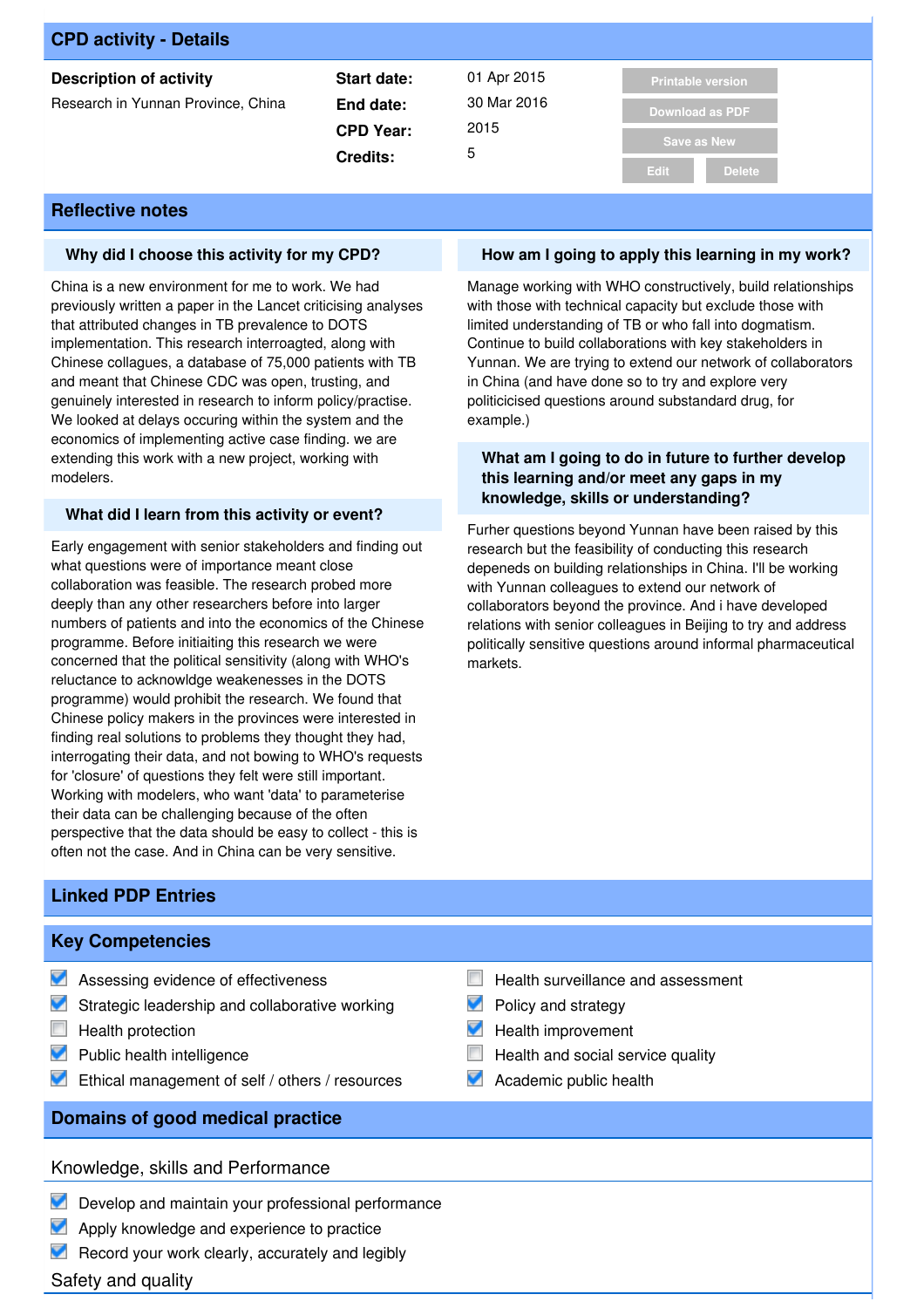| <b>CPD activity - Details</b>      |                  |             |                          |
|------------------------------------|------------------|-------------|--------------------------|
| <b>Description of activity</b>     | Start date:      | 01 Apr 2015 | <b>Printable version</b> |
| Research in Yunnan Province, China | End date:        | 30 Mar 2016 | <b>Download as PDF</b>   |
|                                    | <b>CPD Year:</b> | 2015        | <b>Save as New</b>       |
|                                    | 5<br>Credits:    |             |                          |
|                                    |                  |             | <b>Delete</b><br>Edit    |

### **Why did I choose this activity for my CPD?**

China is a new environment for me to work. We had previously written a paper in the Lancet criticising analyses that attributed changes in TB prevalence to DOTS implementation. This research interroagted, along with Chinese collagues, a database of 75,000 patients with TB and meant that Chinese CDC was open, trusting, and genuinely interested in research to inform policy/practise. We looked at delays occuring within the system and the economics of implementing active case finding. we are extending this work with a new project, working with modelers.

### **What did I learn from this activity or event?**

Early engagement with senior stakeholders and finding out what questions were of importance meant close collaboration was feasible. The research probed more deeply than any other researchers before into larger numbers of patients and into the economics of the Chinese programme. Before initiaiting this research we were concerned that the political sensitivity (along with WHO's reluctance to acknowldge weakenesses in the DOTS programme) would prohibit the research. We found that Chinese policy makers in the provinces were interested in finding real solutions to problems they thought they had, interrogating their data, and not bowing to WHO's requests for 'closure' of questions they felt were still important. Working with modelers, who want 'data' to parameterise their data can be challenging because of the often perspective that the data should be easy to collect - this is often not the case. And in China can be very sensitive.

# **Linked PDP Entries**

### **Key Competencies**

- Assessing evidence of effectiveness
- Strategic leadership and collaborative working
- $\Box$  Health protection
- **Public health intelligence**
- **Ethical management of self / others / resources**

# **Domains of good medical practice**

## Knowledge, skills and Performance

- Develop and maintain your professional performance
- Apply knowledge and experience to practice
- $\blacksquare$  Record your work clearly, accurately and legibly

Safety and quality

# **How am I going to apply this learning in my work?**

Manage working with WHO constructively, build relationships with those with technical capacity but exclude those with limited understanding of TB or who fall into dogmatism. Continue to build collaborations with key stakeholders in Yunnan. We are trying to extend our network of collaborators in China (and have done so to try and explore very politicicised questions around substandard drug, for example.)

### **What am I going to do in future to further develop this learning and/or meet any gaps in my knowledge, skills or understanding?**

Furher questions beyond Yunnan have been raised by this research but the feasibility of conducting this research depeneds on building relationships in China. I'll be working with Yunnan colleagues to extend our network of collaborators beyond the province. And i have developed relations with senior colleagues in Beijing to try and address politically sensitive questions around informal pharmaceutical markets.

- $\mathcal{C}^{\mathcal{A}}$ Health surveillance and assessment
- $\blacktriangledown$ Policy and strategy
- $\blacksquare$  Health improvement
- Health and social service quality
- Academic public health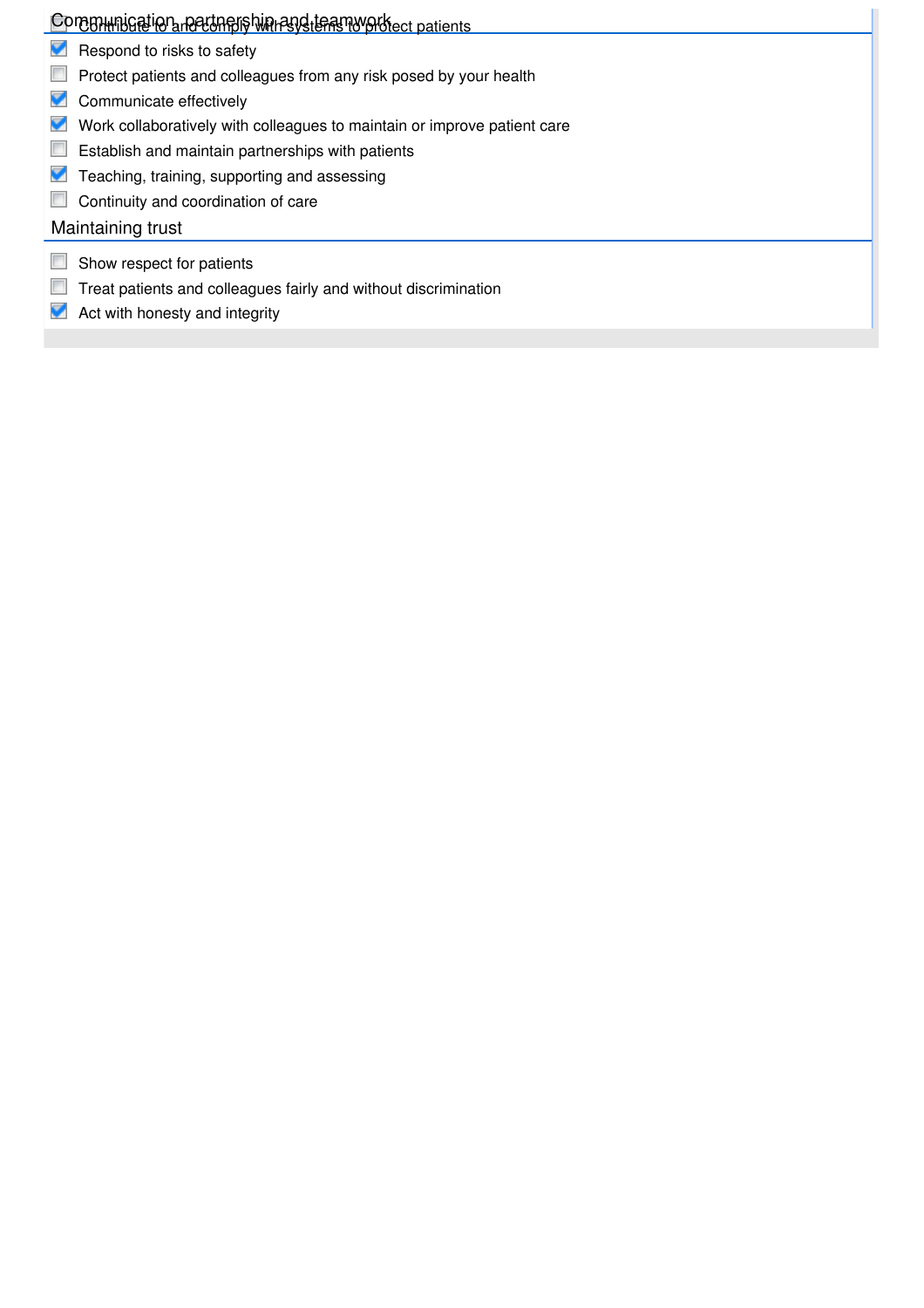# Contrinting to a necting is with resided that my order to patients

- Respond to risks to safety
- **Protect patients and colleagues from any risk posed by your health**
- Communicate effectively
- Work collaboratively with colleagues to maintain or improve patient care
- **Establish and maintain partnerships with patients**
- **T** Teaching, training, supporting and assessing
- **Continuity and coordination of care**

# Maintaining trust

- Show respect for patients
- Treat patients and colleagues fairly and without discrimination
- Act with honesty and integrity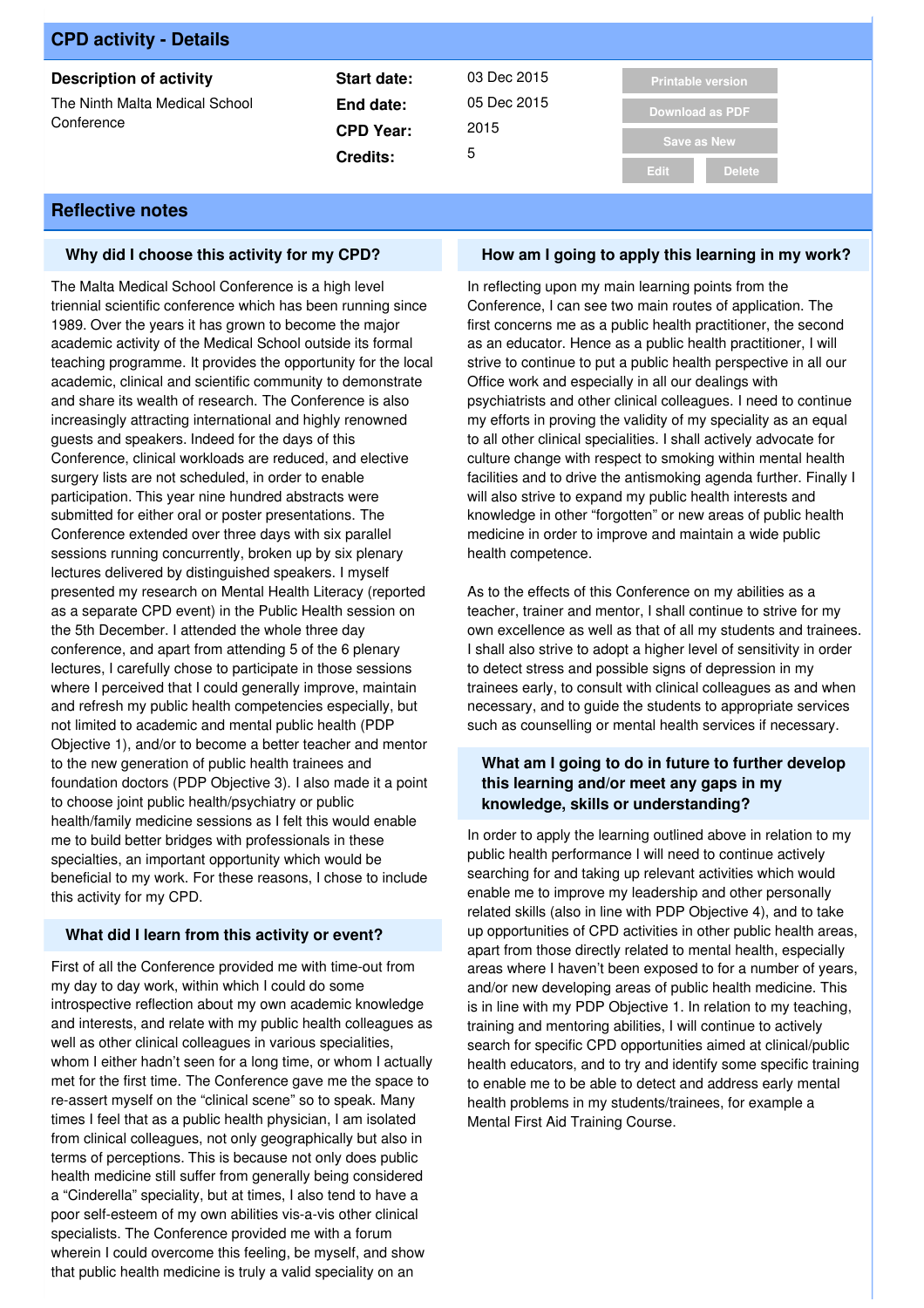| <b>CPD activity - Details</b>                |                  |             |                          |
|----------------------------------------------|------------------|-------------|--------------------------|
| <b>Description of activity</b>               | Start date:      | 03 Dec 2015 | <b>Printable version</b> |
| The Ninth Malta Medical School<br>Conference | End date:        | 05 Dec 2015 | Download as PDF          |
|                                              | <b>CPD Year:</b> | 2015        | <b>Save as New</b>       |
|                                              | <b>Credits:</b>  | 5           |                          |
|                                              |                  |             | <b>Delete</b><br>Edit    |

### **Why did I choose this activity for my CPD?**

The Malta Medical School Conference is a high level triennial scientific conference which has been running since 1989. Over the years it has grown to become the major academic activity of the Medical School outside its formal teaching programme. It provides the opportunity for the local academic, clinical and scientific community to demonstrate and share its wealth of research. The Conference is also increasingly attracting international and highly renowned guests and speakers. Indeed for the days of this Conference, clinical workloads are reduced, and elective surgery lists are not scheduled, in order to enable participation. This year nine hundred abstracts were submitted for either oral or poster presentations. The Conference extended over three days with six parallel sessions running concurrently, broken up by six plenary lectures delivered by distinguished speakers. I myself presented my research on Mental Health Literacy (reported as a separate CPD event) in the Public Health session on the 5th December. I attended the whole three day conference, and apart from attending 5 of the 6 plenary lectures, I carefully chose to participate in those sessions where I perceived that I could generally improve, maintain and refresh my public health competencies especially, but not limited to academic and mental public health (PDP Objective 1), and/or to become a better teacher and mentor to the new generation of public health trainees and foundation doctors (PDP Objective 3). I also made it a point to choose joint public health/psychiatry or public health/family medicine sessions as I felt this would enable me to build better bridges with professionals in these specialties, an important opportunity which would be beneficial to my work. For these reasons, I chose to include this activity for my CPD.

#### **What did I learn from this activity or event?**

First of all the Conference provided me with time-out from my day to day work, within which I could do some introspective reflection about my own academic knowledge and interests, and relate with my public health colleagues as well as other clinical colleagues in various specialities, whom I either hadn't seen for a long time, or whom I actually met for the first time. The Conference gave me the space to re-assert myself on the "clinical scene" so to speak. Many times I feel that as a public health physician, I am isolated from clinical colleagues, not only geographically but also in terms of perceptions. This is because not only does public health medicine still suffer from generally being considered a "Cinderella" speciality, but at times, I also tend to have a poor self-esteem of my own abilities vis-a-vis other clinical specialists. The Conference provided me with a forum wherein I could overcome this feeling, be myself, and show that public health medicine is truly a valid speciality on an

### **How am I going to apply this learning in my work?**

In reflecting upon my main learning points from the Conference, I can see two main routes of application. The first concerns me as a public health practitioner, the second as an educator. Hence as a public health practitioner, I will strive to continue to put a public health perspective in all our Office work and especially in all our dealings with psychiatrists and other clinical colleagues. I need to continue my efforts in proving the validity of my speciality as an equal to all other clinical specialities. I shall actively advocate for culture change with respect to smoking within mental health facilities and to drive the antismoking agenda further. Finally I will also strive to expand my public health interests and knowledge in other "forgotten" or new areas of public health medicine in order to improve and maintain a wide public health competence.

As to the effects of this Conference on my abilities as a teacher, trainer and mentor, I shall continue to strive for my own excellence as well as that of all my students and trainees. I shall also strive to adopt a higher level of sensitivity in order to detect stress and possible signs of depression in my trainees early, to consult with clinical colleagues as and when necessary, and to guide the students to appropriate services such as counselling or mental health services if necessary.

### **What am I going to do in future to further develop this learning and/or meet any gaps in my knowledge, skills or understanding?**

In order to apply the learning outlined above in relation to my public health performance I will need to continue actively searching for and taking up relevant activities which would enable me to improve my leadership and other personally related skills (also in line with PDP Objective 4), and to take up opportunities of CPD activities in other public health areas, apart from those directly related to mental health, especially areas where I haven't been exposed to for a number of years, and/or new developing areas of public health medicine. This is in line with my PDP Objective 1. In relation to my teaching, training and mentoring abilities, I will continue to actively search for specific CPD opportunities aimed at clinical/public health educators, and to try and identify some specific training to enable me to be able to detect and address early mental health problems in my students/trainees, for example a Mental First Aid Training Course.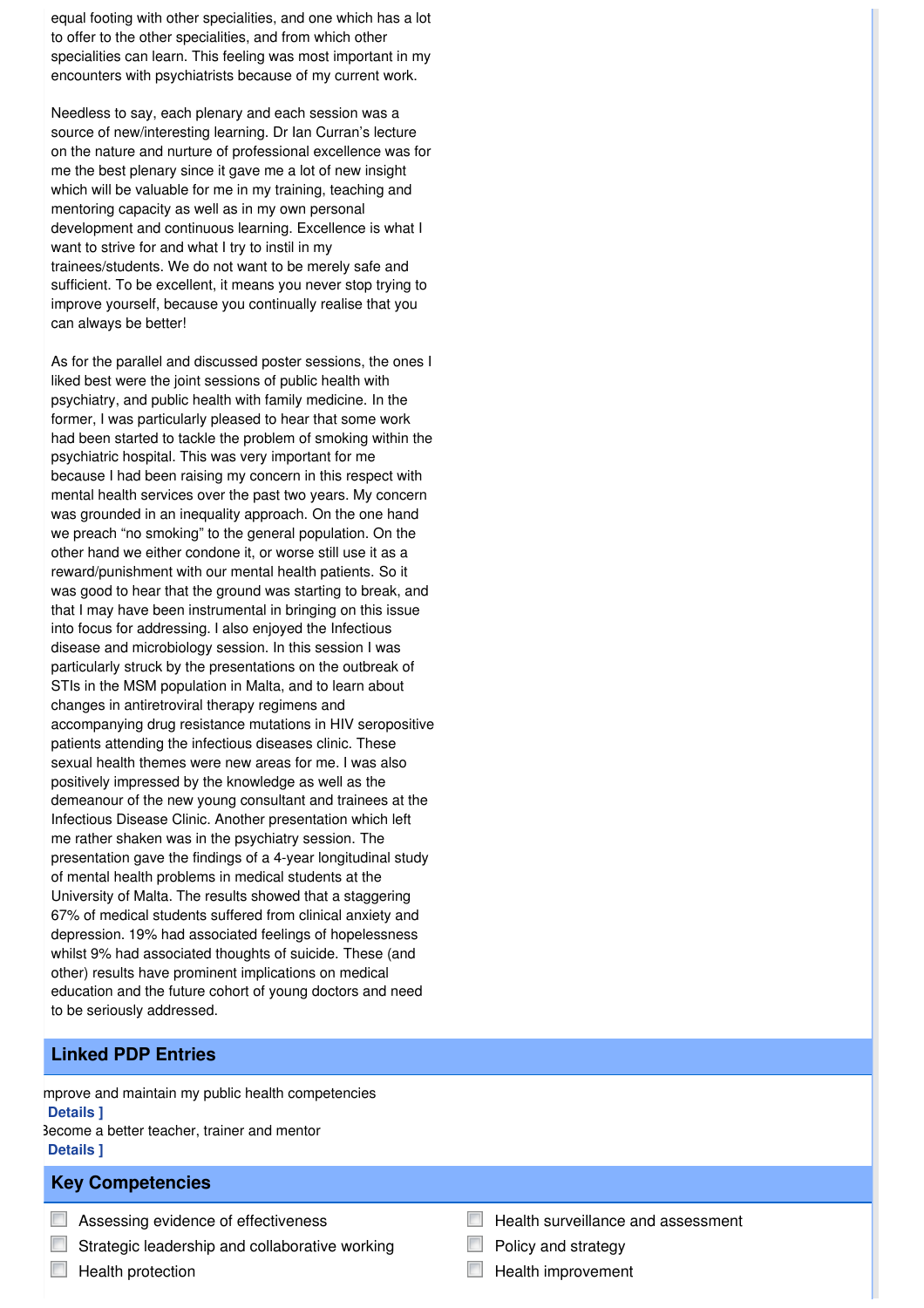equal footing with other specialities, and one which has a lot to offer to the other specialities, and from which other specialities can learn. This feeling was most important in my encounters with psychiatrists because of my current work.

Needless to say, each plenary and each session was a source of new/interesting learning. Dr Ian Curran's lecture on the nature and nurture of professional excellence was for me the best plenary since it gave me a lot of new insight which will be valuable for me in my training, teaching and mentoring capacity as well as in my own personal development and continuous learning. Excellence is what I want to strive for and what I try to instil in my trainees/students. We do not want to be merely safe and sufficient. To be excellent, it means you never stop trying to improve yourself, because you continually realise that you can always be better!

As for the parallel and discussed poster sessions, the ones I liked best were the joint sessions of public health with psychiatry, and public health with family medicine. In the former, I was particularly pleased to hear that some work had been started to tackle the problem of smoking within the psychiatric hospital. This was very important for me because I had been raising my concern in this respect with mental health services over the past two years. My concern was grounded in an inequality approach. On the one hand we preach "no smoking" to the general population. On the other hand we either condone it, or worse still use it as a reward/punishment with our mental health patients. So it was good to hear that the ground was starting to break, and that I may have been instrumental in bringing on this issue into focus for addressing. I also enjoyed the Infectious disease and microbiology session. In this session I was particularly struck by the presentations on the outbreak of STIs in the MSM population in Malta, and to learn about changes in antiretroviral therapy regimens and accompanying drug resistance mutations in HIV seropositive patients attending the infectious diseases clinic. These sexual health themes were new areas for me. I was also positively impressed by the knowledge as well as the demeanour of the new young consultant and trainees at the Infectious Disease Clinic. Another presentation which left me rather shaken was in the psychiatry session. The presentation gave the findings of a 4-year longitudinal study of mental health problems in medical students at the University of Malta. The results showed that a staggering 67% of medical students suffered from clinical anxiety and depression. 19% had associated feelings of hopelessness whilst 9% had associated thoughts of suicide. These (and other) results have prominent implications on medical education and the future cohort of young doctors and need to be seriously addressed.

# **Linked PDP Entries**

mprove and maintain my public health competencies **[ Details ]** Become a better teacher, trainer and mentor **[ Details ]**

# **Key Competencies**

- **Assessing evidence of effectiveness**
- $\Box$  Strategic leadership and collaborative working
- $\Box$  Health protection
- $\Box$  Health surveillance and assessment
- Policy and strategy
- $\Box$  Health improvement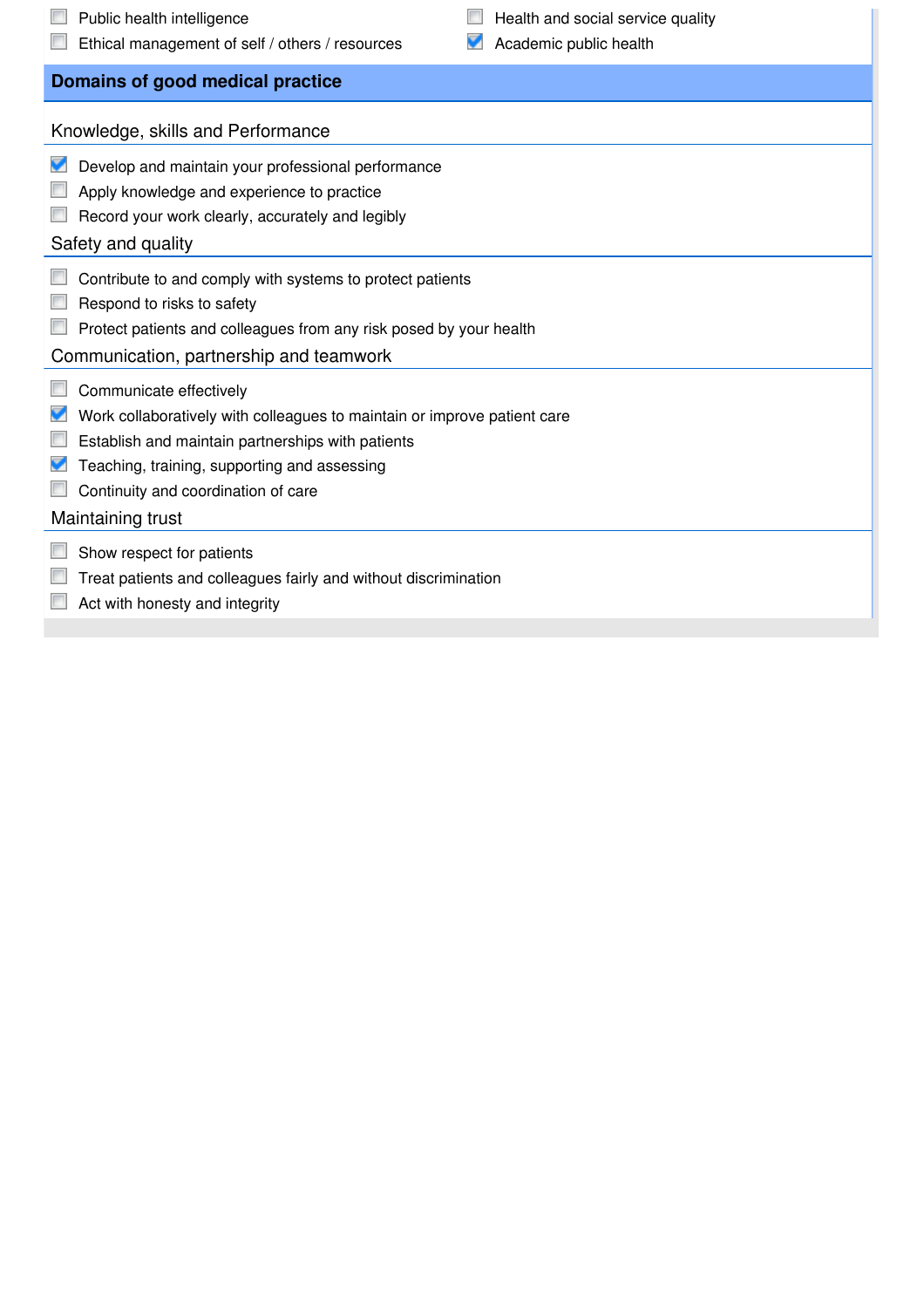| Public health intelligence<br>Ethical management of self / others / resources                                                                                                                                                                                        | Health and social service quality<br>Academic public health |  |
|----------------------------------------------------------------------------------------------------------------------------------------------------------------------------------------------------------------------------------------------------------------------|-------------------------------------------------------------|--|
| Domains of good medical practice                                                                                                                                                                                                                                     |                                                             |  |
| Knowledge, skills and Performance                                                                                                                                                                                                                                    |                                                             |  |
| Develop and maintain your professional performance<br>Apply knowledge and experience to practice<br>Record your work clearly, accurately and legibly<br>Safety and quality                                                                                           |                                                             |  |
| Contribute to and comply with systems to protect patients<br>Respond to risks to safety<br>Protect patients and colleagues from any risk posed by your health<br>Communication, partnership and teamwork                                                             |                                                             |  |
| Communicate effectively<br>Work collaboratively with colleagues to maintain or improve patient care<br>Establish and maintain partnerships with patients<br>Teaching, training, supporting and assessing<br>Continuity and coordination of care<br>Maintaining trust |                                                             |  |
| Show respect for patients<br>Treat patients and colleagues fairly and without discrimination<br>Act with honesty and integrity                                                                                                                                       |                                                             |  |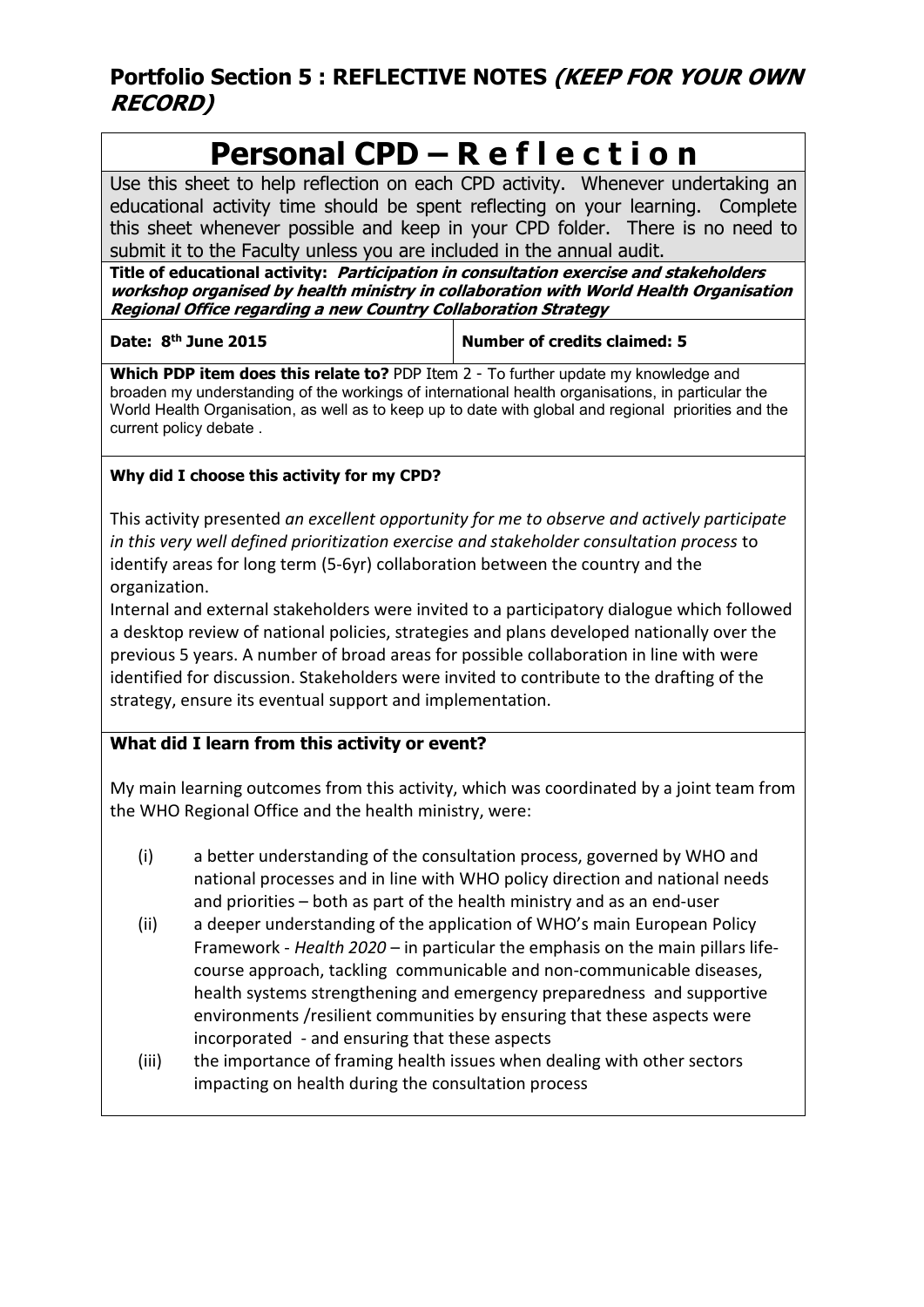# **Portfolio Section 5 : REFLECTIVE NOTES (KEEP FOR YOUR OWN RECORD)**

# **Personal CPD – R e f l e c t i o n**

Use this sheet to help reflection on each CPD activity. Whenever undertaking an educational activity time should be spent reflecting on your learning. Complete this sheet whenever possible and keep in your CPD folder. There is no need to submit it to the Faculty unless you are included in the annual audit.

**Title of educational activity: Participation in consultation exercise and stakeholders workshop organised by health ministry in collaboration with World Health Organisation Regional Office regarding a new Country Collaboration Strategy**

**Date: 8th June 2015 Number of credits claimed: 5**

**Which PDP item does this relate to?** PDP Item 2 - To further update my knowledge and broaden my understanding of the workings of international health organisations, in particular the World Health Organisation, as well as to keep up to date with global and regional priorities and the current policy debate .

# **Why did I choose this activity for my CPD?**

This activity presented *an excellent opportunity for me to observe and actively participate in this very well defined prioritization exercise and stakeholder consultation process* to identify areas for long term (5-6yr) collaboration between the country and the organization.

Internal and external stakeholders were invited to a participatory dialogue which followed a desktop review of national policies, strategies and plans developed nationally over the previous 5 years. A number of broad areas for possible collaboration in line with were identified for discussion. Stakeholders were invited to contribute to the drafting of the strategy, ensure its eventual support and implementation.

# **What did I learn from this activity or event?**

My main learning outcomes from this activity, which was coordinated by a joint team from the WHO Regional Office and the health ministry, were:

- (i) a better understanding of the consultation process, governed by WHO and national processes and in line with WHO policy direction and national needs and priorities – both as part of the health ministry and as an end-user
- (ii) a deeper understanding of the application of WHO's main European Policy Framework - *Health 2020* – in particular the emphasis on the main pillars lifecourse approach, tackling communicable and non-communicable diseases, health systems strengthening and emergency preparedness and supportive environments /resilient communities by ensuring that these aspects were incorporated - and ensuring that these aspects
- (iii) the importance of framing health issues when dealing with other sectors impacting on health during the consultation process